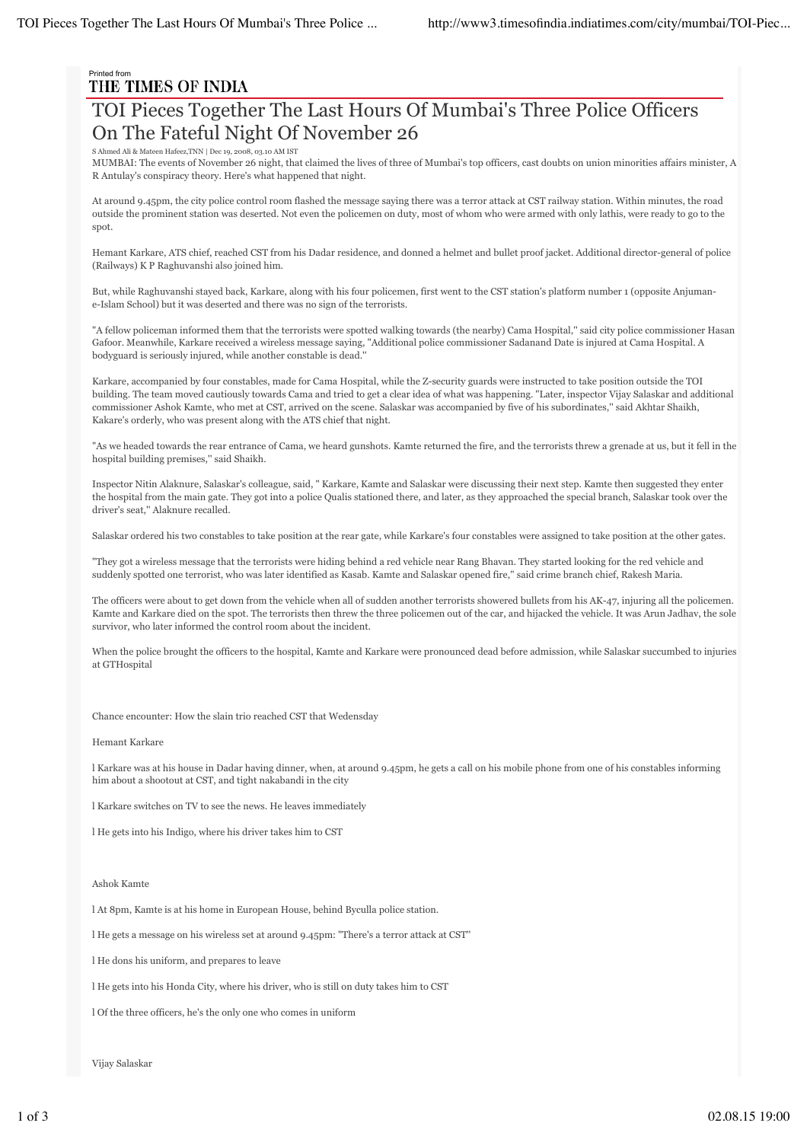# Printed from<br>THE TIMES OF INDIA

## TOI Pieces Together The Last Hours Of Mumbai's Three Police Officers On The Fateful Night Of November 26

ed Ali & Mateen Hafeez,TNN | Dec 19, 2008, 03.10 AM IST

MUMBAI: The events of November 26 night, that claimed the lives of three of Mumbai's top officers, cast doubts on union minorities affairs minister, A R Antulay's conspiracy theory. Here's what happened that night.

At around 9.45pm, the city police control room flashed the message saying there was a terror attack at CST railway station. Within minutes, the road outside the prominent station was deserted. Not even the policemen on duty, most of whom who were armed with only lathis, were ready to go to the spot.

Hemant Karkare, ATS chief, reached CST from his Dadar residence, and donned a helmet and bullet proof jacket. Additional director-general of police (Railways) K P Raghuvanshi also joined him.

But, while Raghuvanshi stayed back, Karkare, along with his four policemen, first went to the CST station's platform number 1 (opposite Anjumane-Islam School) but it was deserted and there was no sign of the terrorists.

"A fellow policeman informed them that the terrorists were spotted walking towards (the nearby) Cama Hospital,'' said city police commissioner Hasan Gafoor. Meanwhile, Karkare received a wireless message saying, "Additional police commissioner Sadanand Date is injured at Cama Hospital. A bodyguard is seriously injured, while another constable is dead.''

Karkare, accompanied by four constables, made for Cama Hospital, while the Z-security guards were instructed to take position outside the TOI building. The team moved cautiously towards Cama and tried to get a clear idea of what was happening. "Later, inspector Vijay Salaskar and additional commissioner Ashok Kamte, who met at CST, arrived on the scene. Salaskar was accompanied by five of his subordinates,'' said Akhtar Shaikh, Kakare's orderly, who was present along with the ATS chief that night.

"As we headed towards the rear entrance of Cama, we heard gunshots. Kamte returned the fire, and the terrorists threw a grenade at us, but it fell in the hospital building premises,'' said Shaikh.

Inspector Nitin Alaknure, Salaskar's colleague, said, " Karkare, Kamte and Salaskar were discussing their next step. Kamte then suggested they enter the hospital from the main gate. They got into a police Qualis stationed there, and later, as they approached the special branch, Salaskar took over the driver's seat,'' Alaknure recalled.

Salaskar ordered his two constables to take position at the rear gate, while Karkare's four constables were assigned to take position at the other gates.

"They got a wireless message that the terrorists were hiding behind a red vehicle near Rang Bhavan. They started looking for the red vehicle and suddenly spotted one terrorist, who was later identified as Kasab. Kamte and Salaskar opened fire,'' said crime branch chief, Rakesh Maria.

The officers were about to get down from the vehicle when all of sudden another terrorists showered bullets from his AK-47, injuring all the policemen. Kamte and Karkare died on the spot. The terrorists then threw the three policemen out of the car, and hijacked the vehicle. It was Arun Jadhav, the sole survivor, who later informed the control room about the incident.

When the police brought the officers to the hospital, Kamte and Karkare were pronounced dead before admission, while Salaskar succumbed to injuries at GTHospital

Chance encounter: How the slain trio reached CST that Wedensday

Hemant Karkare

l Karkare was at his house in Dadar having dinner, when, at around 9.45pm, he gets a call on his mobile phone from one of his constables informing him about a shootout at CST, and tight nakabandi in the city

l Karkare switches on TV to see the news. He leaves immediately

l He gets into his Indigo, where his driver takes him to CST

Ashok Kamte

l At 8pm, Kamte is at his home in European House, behind Byculla police station.

l He gets a message on his wireless set at around 9.45pm: "There's a terror attack at CST''

l He dons his uniform, and prepares to leave

l He gets into his Honda City, where his driver, who is still on duty takes him to CST

l Of the three officers, he's the only one who comes in uniform

Vijay Salaskar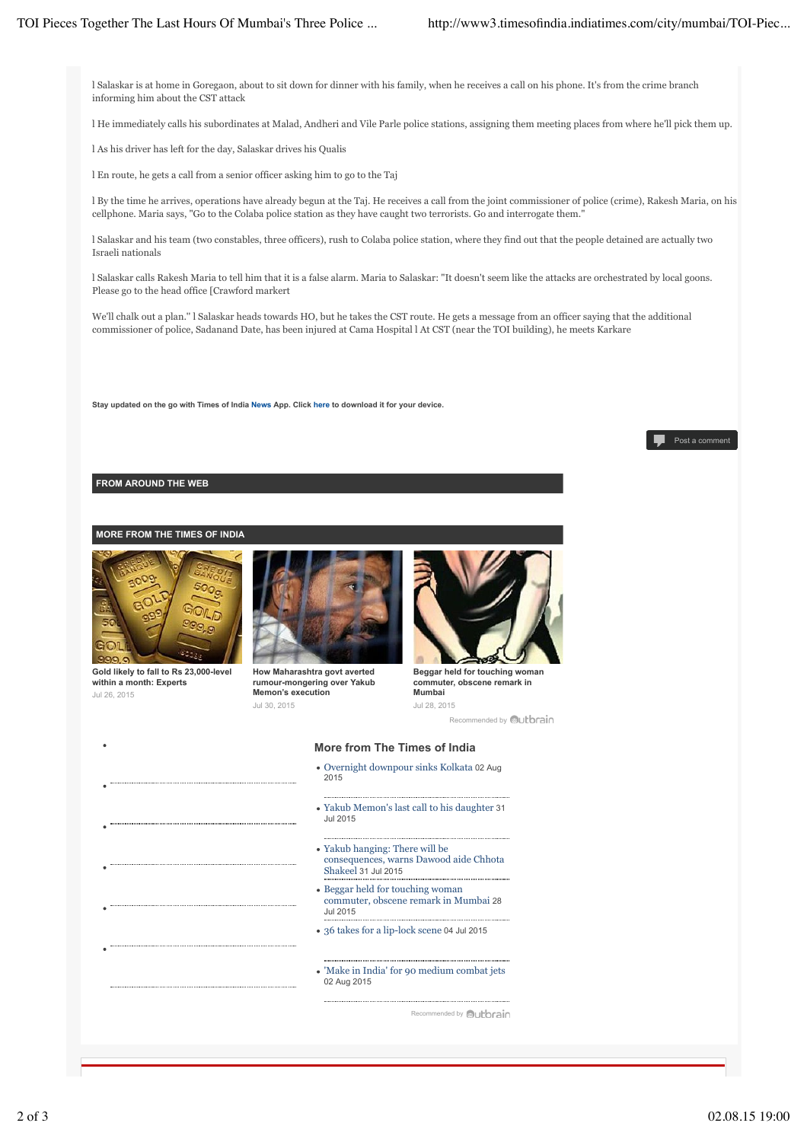l Salaskar is at home in Goregaon, about to sit down for dinner with his family, when he receives a call on his phone. It's from the crime branch informing him about the CST attack

l He immediately calls his subordinates at Malad, Andheri and Vile Parle police stations, assigning them meeting places from where he'll pick them up.

l As his driver has left for the day, Salaskar drives his Qualis

l En route, he gets a call from a senior officer asking him to go to the Taj

l By the time he arrives, operations have already begun at the Taj. He receives a call from the joint commissioner of police (crime), Rakesh Maria, on his cellphone. Maria says, "Go to the Colaba police station as they have caught two terrorists. Go and interrogate them."

l Salaskar and his team (two constables, three officers), rush to Colaba police station, where they find out that the people detained are actually two Israeli nationals

l Salaskar calls Rakesh Maria to tell him that it is a false alarm. Maria to Salaskar: "It doesn't seem like the attacks are orchestrated by local goons. Please go to the head office [Crawford markert

We'll chalk out a plan.'' l Salaskar heads towards HO, but he takes the CST route. He gets a message from an officer saying that the additional commissioner of police, Sadanand Date, has been injured at Cama Hospital l At CST (near the TOI building), he meets Karkare

**Stay updated on the go with Times of India News App. Click here to download it for your device.**

#### Post a comment

### **FROM AROUND THE WEB**

#### **MORE FROM THE TIMES OF INDIA**



**Gold likely to fall to Rs 23,000-level within a month: Experts** Jul 26, 2015



**How Maharashtra govt averted rumour-mongering over Yakub Memon's execution** Jul 30, 2015



Recommended by **Outbrain Beggar held for touching woman commuter, obscene remark in Mumbai** Jul 28, 2015

**More from The Times of India**

- Overnight downpour sinks Kolkata 02 Aug 2015
- Yakub Memon's last call to his daughter 31 Jul 2015
- Yakub hanging: There will be consequences, warns Dawood aide Chhota Shakeel 31 Jul 2015
- Beggar held for touching woman commuter, obscene remark in Mumbai 28 Jul 2015
- 36 takes for a lip-lock scene 04 Jul 2015
- 'Make in India' for 90 medium combat jets 02 Aug 2015

Recommended by **Bullbrain**